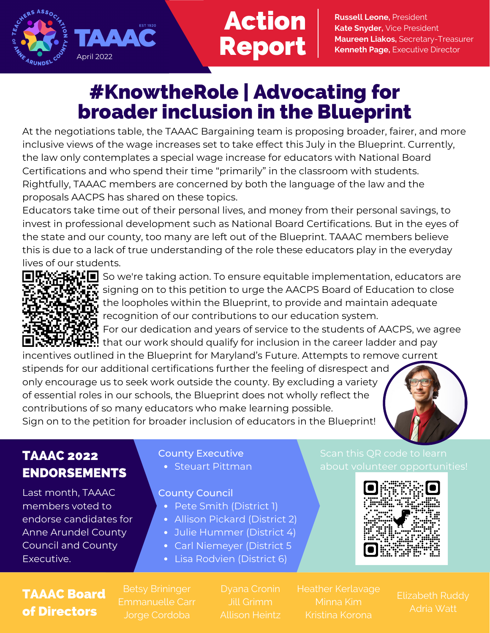

# Action Report

**Russell Leone,** President **Kate Snyder,** Vice President **Maureen Liakos,** Secretary-Treasurer **Kenneth Page,** Executive Director

## #KnowtheRole | Advocating for broader inclusion in the Blueprint

At the negotiations table, the TAAAC Bargaining team is proposing broader, fairer, and more inclusive views of the wage increases set to take effect this July in the Blueprint. Currently, the law only contemplates a special wage increase for educators with National Board Certifications and who spend their time "primarily" in the classroom with students. Rightfully, TAAAC members are concerned by both the language of the law and the proposals AACPS has shared on these topics.

Educators take time out of their personal lives, and money from their personal savings, to invest in professional development such as National Board Certifications. But in the eyes of the state and our county, too many are left out of the Blueprint. TAAAC members believe this is due to a lack of true understanding of the role these educators play in the everyday lives of our students.



 $\mathbf{E}$  in So we're taking action. To ensure equitable implementation, educators are signing on to this petition to urge the AACPS Board of Education to close the loopholes within the Blueprint, to provide and maintain adequate recognition of our contributions to our education system.

**F: HOME**<br>2014 For our dedication and years of service to the students of AACPS, we agree  $\mathbf{H}$  that our work should qualify for inclusion in the career ladder and pay

incentives outlined in the Blueprint for Maryland's Future. Attempts to remove current stipends for our additional certifications further the feeling of disrespect and only encourage us to seek work outside the county. By excluding a variety of essential roles in our schools, the Blueprint does not wholly reflect the contributions of so many educators who make learning possible. Sign on to the petition for broader inclusion of educators in the Blueprint!



### TAAAC 2022 ENDORSEMENTS

Last month, TAAAC members voted to endorse candidates for Anne Arundel County Council and County Executive.

#### County Executive

• Steuart Pittman

#### County Council

- Pete Smith (District 1)
- Allison Pickard (District 2)
- Julie Hummer (District 4)
- Carl Niemeyer (District 5
- Lisa Rodvien (District 6)

## about volunteer opportunities!



### TAAAC Board of Directors

Jorge Cordoba

Heather Kerlavage

Adria Watt